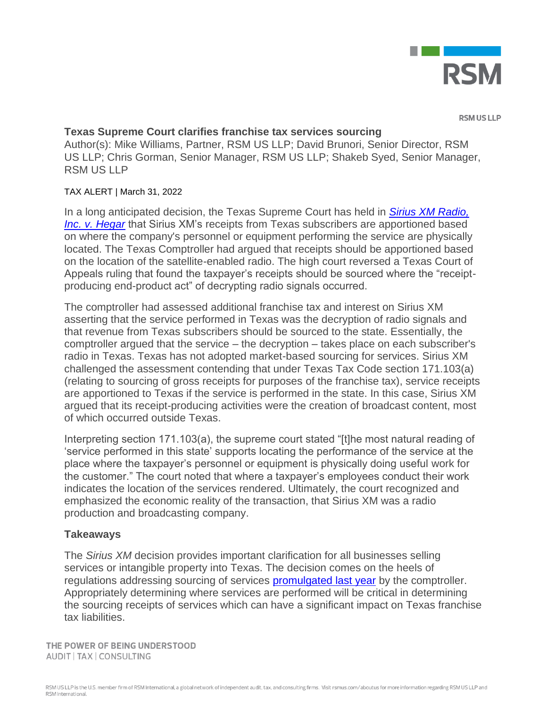

**RSMUSILP** 

## **Texas Supreme Court clarifies franchise tax services sourcing**

Author(s): Mike Williams, Partner, RSM US LLP; David Brunori, Senior Director, RSM US LLP; Chris Gorman, Senior Manager, RSM US LLP; Shakeb Syed, Senior Manager, RSM US LLP

## TAX ALERT | March 31, 2022

In a long anticipated decision, the Texas Supreme Court has held in *[Sirius XM Radio,](https://www.txcourts.gov/media/1453921/200462.pdf)  [Inc. v. Hegar](https://www.txcourts.gov/media/1453921/200462.pdf)* that Sirius XM's receipts from Texas subscribers are apportioned based on where the company's personnel or equipment performing the service are physically located. The Texas Comptroller had argued that receipts should be apportioned based on the location of the satellite-enabled radio. The high court reversed a Texas Court of Appeals ruling that found the taxpayer's receipts should be sourced where the "receiptproducing end-product act" of decrypting radio signals occurred.

The comptroller had assessed additional franchise tax and interest on Sirius XM asserting that the service performed in Texas was the decryption of radio signals and that revenue from Texas subscribers should be sourced to the state. Essentially, the comptroller argued that the service – the decryption – takes place on each subscriber's radio in Texas. Texas has not adopted market-based sourcing for services. Sirius XM challenged the assessment contending that under Texas Tax Code section 171.103(a) (relating to sourcing of gross receipts for purposes of the franchise tax), service receipts are apportioned to Texas if the service is performed in the state. In this case, Sirius XM argued that its receipt-producing activities were the creation of broadcast content, most of which occurred outside Texas.

Interpreting section 171.103(a), the supreme court stated "[t]he most natural reading of 'service performed in this state' supports locating the performance of the service at the place where the taxpayer's personnel or equipment is physically doing useful work for the customer." The court noted that where a taxpayer's employees conduct their work indicates the location of the services rendered. Ultimately, the court recognized and emphasized the economic reality of the transaction, that Sirius XM was a radio production and broadcasting company.

## **Takeaways**

The *Sirius XM* decision provides important clarification for all businesses selling services or intangible property into Texas. The decision comes on the heels of regulations addressing sourcing of services [promulgated last year](https://rsmus.com/what-we-do/services/tax/state-and-local-tax/income-and-franchise/texas-issues-revised-franchise-tax-sourcing-rules.html) by the comptroller. Appropriately determining where services are performed will be critical in determining the sourcing receipts of services which can have a significant impact on Texas franchise tax liabilities.

THE POWER OF BEING UNDERSTOOD AUDIT | TAX | CONSULTING